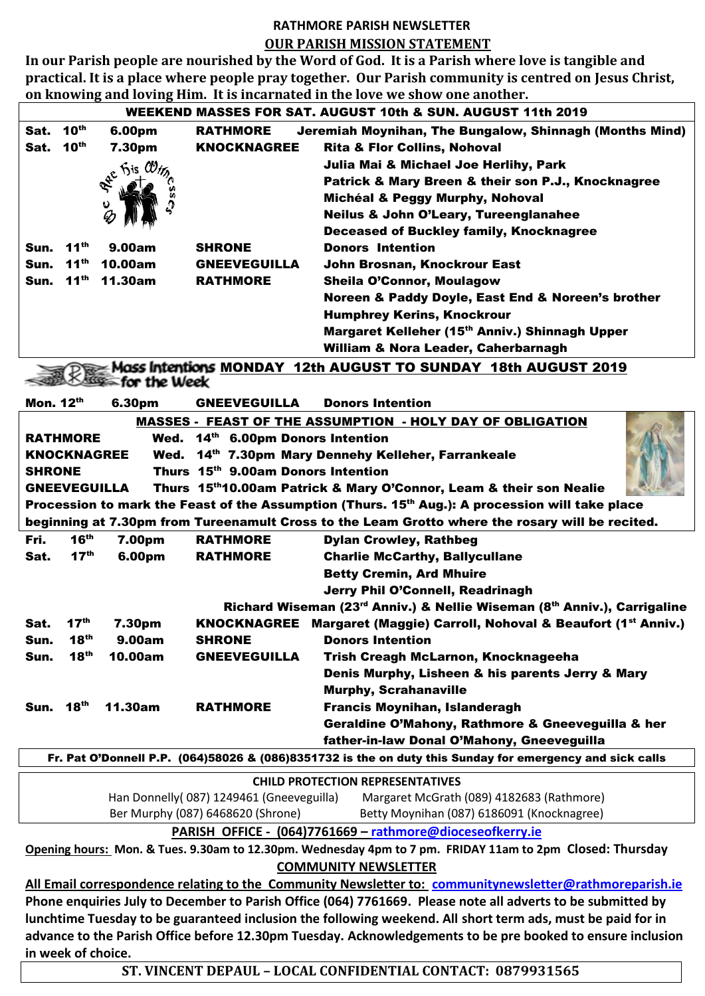## **RATHMORE PARISH NEWSLETTER OUR PARISH MISSION STATEMENT**

**In our Parish people are nourished by the Word of God. It is a Parish where love is tangible and practical. It is a place where people pray together. Our Parish community is centred on Jesus Christ, on knowing and loving Him. It is incarnated in the love we show one another.**

| WEEKEND MASSES FOR SAT. AUGUST 10th & SUN. AUGUST 11th 2019                                                 |                  |                |                     |                                                                                                         |
|-------------------------------------------------------------------------------------------------------------|------------------|----------------|---------------------|---------------------------------------------------------------------------------------------------------|
| Sat.                                                                                                        | 10 <sup>th</sup> | 6.00pm         | <b>RATHMORE</b>     | Jeremiah Moynihan, The Bungalow, Shinnagh (Months Mind)                                                 |
| Sat.                                                                                                        | 10 <sup>th</sup> | 7.30pm         | <b>KNOCKNAGREE</b>  | <b>Rita &amp; Flor Collins, Nohoval</b>                                                                 |
|                                                                                                             |                  |                |                     | Julia Mai & Michael Joe Herlihy, Park                                                                   |
|                                                                                                             |                  | offe Fis CO,   |                     | Patrick & Mary Breen & their son P.J., Knocknagree                                                      |
|                                                                                                             |                  |                |                     | Michéal & Peggy Murphy, Nohoval                                                                         |
|                                                                                                             |                  |                |                     | <b>Neilus &amp; John O'Leary, Tureenglanahee</b>                                                        |
|                                                                                                             |                  |                |                     | <b>Deceased of Buckley family, Knocknagree</b>                                                          |
| Sun.                                                                                                        | 11 <sup>th</sup> | 9.00am         | <b>SHRONE</b>       | <b>Donors Intention</b>                                                                                 |
| Sun.                                                                                                        | $11^{th}$        | 10.00am        | <b>GNEEVEGUILLA</b> | John Brosnan, Knockrour East                                                                            |
| Sun.                                                                                                        | 11 <sup>th</sup> | <b>11.30am</b> | <b>RATHMORE</b>     | <b>Sheila O'Connor, Moulagow</b>                                                                        |
|                                                                                                             |                  |                |                     | Noreen & Paddy Doyle, East End & Noreen's brother                                                       |
|                                                                                                             |                  |                |                     | <b>Humphrey Kerins, Knockrour</b>                                                                       |
|                                                                                                             |                  |                |                     | Margaret Kelleher (15th Anniv.) Shinnagh Upper                                                          |
|                                                                                                             |                  |                |                     | William & Nora Leader, Caherbarnagh                                                                     |
| Mass Intentions MONDAY 12th AUGUST TO SUNDAY 18th AUGUST 2019                                               |                  |                |                     |                                                                                                         |
| for the Week                                                                                                |                  |                |                     |                                                                                                         |
| Mon. 12th                                                                                                   |                  |                |                     | <b>Donors Intention</b>                                                                                 |
|                                                                                                             |                  | 6.30pm         | <b>GNEEVEGUILLA</b> |                                                                                                         |
| <b>MASSES - FEAST OF THE ASSUMPTION - HOLY DAY OF OBLIGATION</b>                                            |                  |                |                     |                                                                                                         |
| <b>RATHMORE</b><br>Wed. 14th 6.00pm Donors Intention                                                        |                  |                |                     |                                                                                                         |
| <b>KNOCKNAGREE</b><br>14th 7.30pm Mary Dennehy Kelleher, Farrankeale<br>Wed.                                |                  |                |                     |                                                                                                         |
| Thurs 15th 9.00am Donors Intention<br><b>SHRONE</b>                                                         |                  |                |                     |                                                                                                         |
| Thurs 15th10.00am Patrick & Mary O'Connor, Leam & their son Nealie<br><b>GNEEVEGUILLA</b>                   |                  |                |                     |                                                                                                         |
| Procession to mark the Feast of the Assumption (Thurs. 15 <sup>th</sup> Aug.): A procession will take place |                  |                |                     |                                                                                                         |
| beginning at 7.30pm from Tureenamult Cross to the Leam Grotto where the rosary will be recited.             |                  |                |                     |                                                                                                         |
| Fri.                                                                                                        | 16 <sup>th</sup> | 7.00pm         | <b>RATHMORE</b>     | <b>Dylan Crowley, Rathbeg</b>                                                                           |
| Sat.                                                                                                        | 17 <sup>th</sup> | 6.00pm         | <b>RATHMORE</b>     | <b>Charlie McCarthy, Ballycullane</b>                                                                   |
|                                                                                                             |                  |                |                     | <b>Betty Cremin, Ard Mhuire</b>                                                                         |
|                                                                                                             |                  |                |                     | Jerry Phil O'Connell, Readrinagh                                                                        |
|                                                                                                             |                  |                |                     | Richard Wiseman (23 <sup>rd</sup> Anniv.) & Nellie Wiseman (8 <sup>th</sup> Anniv.), Carrigaline        |
| Sat.                                                                                                        | 17 <sup>th</sup> | 7.30pm         |                     | KNOCKNAGREE Margaret (Maggie) Carroll, Nohoval & Beaufort (1st Anniv.)                                  |
| Sun.                                                                                                        | 18 <sup>th</sup> | 9.00am         | <b>SHRONE</b>       | <b>Donors Intention</b>                                                                                 |
| Sun.                                                                                                        | 18 <sup>th</sup> | 10.00am        | <b>GNEEVEGUILLA</b> | Trish Creagh McLarnon, Knocknageeha                                                                     |
|                                                                                                             |                  |                |                     | Denis Murphy, Lisheen & his parents Jerry & Mary                                                        |
|                                                                                                             |                  |                |                     | <b>Murphy, Scrahanaville</b>                                                                            |
| Sun.                                                                                                        | 18 <sup>th</sup> | 11.30am        | <b>RATHMORE</b>     | Francis Moynihan, Islanderagh                                                                           |
|                                                                                                             |                  |                |                     | Geraldine O'Mahony, Rathmore & Gneeveguilla & her                                                       |
| father-in-law Donal O'Mahony, Gneeveguilla                                                                  |                  |                |                     |                                                                                                         |
| Fr. Pat O'Donnell P.P. (064)58026 & (086)8351732 is the on duty this Sunday for emergency and sick calls    |                  |                |                     |                                                                                                         |
| <b>CHILD PROTECTION REPRESENTATIVES</b>                                                                     |                  |                |                     |                                                                                                         |
| Han Donnelly(087) 1249461 (Gneeveguilla)<br>Margaret McGrath (089) 4182683 (Rathmore)                       |                  |                |                     |                                                                                                         |
| Ber Murphy (087) 6468620 (Shrone)<br>Betty Moynihan (087) 6186091 (Knocknagree)                             |                  |                |                     |                                                                                                         |
| PARISH OFFICE - (064)7761669 - rathmore@dioceseofkerry.ie                                                   |                  |                |                     |                                                                                                         |
| Opening hours: Mon. & Tues. 9.30am to 12.30pm. Wednesday 4pm to 7 pm. FRIDAY 11am to 2pm Closed: Thursday   |                  |                |                     |                                                                                                         |
| <b>COMMUNITY NEWSLETTER</b>                                                                                 |                  |                |                     |                                                                                                         |
|                                                                                                             |                  |                |                     | All Email correspondence relating to the Community Newsletter to: communitynewsletter@rathmoreparish.ie |
| Phone enquiries July to December to Parish Office (064) 7761669. Please note all adverts to be submitted by |                  |                |                     |                                                                                                         |
|                                                                                                             |                  |                |                     |                                                                                                         |

**lunchtime Tuesday to be guaranteed inclusion the following weekend. All short term ads, must be paid for in advance to the Parish Office before 12.30pm Tuesday. Acknowledgements to be pre booked to ensure inclusion in week of choice.**